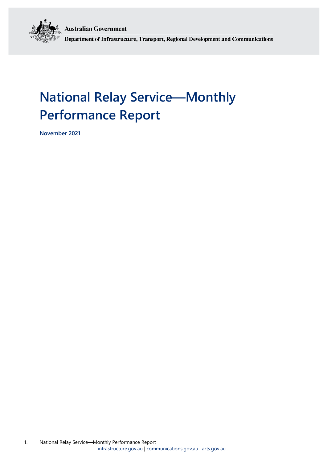**Australian Government** 



Department of Infrastructure, Transport, Regional Development and Communications

# **National Relay Service—Monthly Performance Report**

**November 2021**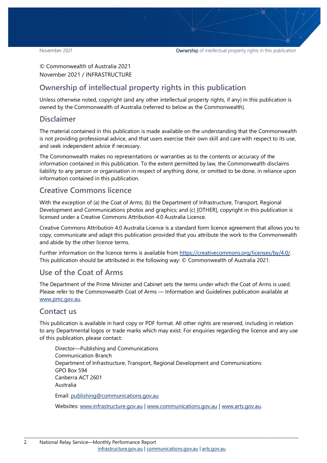© Commonwealth of Australia 2021 November 2021 / INFRASTRUCTURE

### **Ownership of intellectual property rights in this publication**

Unless otherwise noted, copyright (and any other intellectual property rights, if any) in this publication is owned by the Commonwealth of Australia (referred to below as the Commonwealth).

#### **Disclaimer**

The material contained in this publication is made available on the understanding that the Commonwealth is not providing professional advice, and that users exercise their own skill and care with respect to its use, and seek independent advice if necessary.

The Commonwealth makes no representations or warranties as to the contents or accuracy of the information contained in this publication. To the extent permitted by law, the Commonwealth disclaims liability to any person or organisation in respect of anything done, or omitted to be done, in reliance upon information contained in this publication.

#### **Creative Commons licence**

With the exception of (a) the Coat of Arms; (b) the Department of Infrastructure, Transport, Regional Development and Communications photos and graphics; and (c) [OTHER], copyright in this publication is licensed under a Creative Commons Attribution 4.0 Australia Licence.

Creative Commons Attribution 4.0 Australia Licence is a standard form licence agreement that allows you to copy, communicate and adapt this publication provided that you attribute the work to the Commonwealth and abide by the other licence terms.

Further information on the licence terms is available from [https://creativecommons.org/licenses/by/4.0/.](https://creativecommons.org/licenses/by/4.0/) This publication should be attributed in the following way: © Commonwealth of Australia 2021.

#### **Use of the Coat of Arms**

The Department of the Prime Minister and Cabinet sets the terms under which the Coat of Arms is used. Please refer to the Commonwealth Coat of Arms — Information and Guidelines publication available at [www.pmc.gov.au.](http://www.pmc.gov.au/) 

#### **Contact us**

This publication is available in hard copy or PDF format. All other rights are reserved, including in relation to any Departmental logos or trade marks which may exist. For enquiries regarding the licence and any use of this publication, please contact:

Director—Publishing and Communications Communication Branch Department of Infrastructure, Transport, Regional Development and Communications GPO Box 594 Canberra ACT 2601 Australia Email: [publishing@communications.gov.au](mailto:publishing@communications.gov.au)

Websites: [www.infrastructure.gov.au](http://www.infrastructure.gov.au/) [| www.communications.gov.au](http://www.communications.gov.au/) | [www.arts.gov.au.](http://www.arts.gov.au/)

\_\_\_\_\_\_\_\_\_\_\_\_\_\_\_\_\_\_\_\_\_\_\_\_\_\_\_\_\_\_\_\_\_\_\_\_\_\_\_\_\_\_\_\_\_\_\_\_\_\_\_\_\_\_\_\_\_\_\_\_\_\_\_\_\_\_\_\_\_\_\_\_\_\_\_\_\_\_\_\_\_\_\_\_\_\_\_\_\_\_\_\_\_\_\_\_\_\_\_\_\_\_\_\_\_\_\_\_\_\_\_\_\_\_\_\_\_\_\_\_\_\_\_\_\_\_\_\_\_\_\_\_\_\_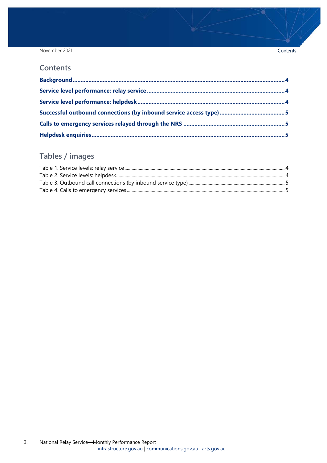November 2021

#### **Contents**

# Tables / images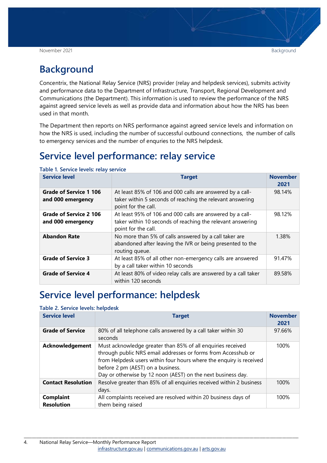### <span id="page-3-0"></span>**Background**

Concentrix, the National Relay Service (NRS) provider (relay and helpdesk services), submits activity and performance data to the Department of Infrastructure, Transport, Regional Development and Communications (the Department). This information is used to review the performance of the NRS against agreed service levels as well as provide data and information about how the NRS has been used in that month.

The Department then reports on NRS performance against agreed service levels and information on how the NRS is used, including the number of successful outbound connections, the number of calls to emergency services and the number of enquries to the NRS helpdesk.

### <span id="page-3-1"></span>**Service level performance: relay service**

| <b>Service level</b>                               | <b>Target</b>                                                                                                                                  | <b>November</b><br>2021 |
|----------------------------------------------------|------------------------------------------------------------------------------------------------------------------------------------------------|-------------------------|
| Grade of Service 1 106<br>and 000 emergency        | At least 85% of 106 and 000 calls are answered by a call-<br>taker within 5 seconds of reaching the relevant answering<br>point for the call.  | 98.14%                  |
| <b>Grade of Service 2 106</b><br>and 000 emergency | At least 95% of 106 and 000 calls are answered by a call-<br>taker within 10 seconds of reaching the relevant answering<br>point for the call. | 98.12%                  |
| <b>Abandon Rate</b>                                | No more than 5% of calls answered by a call taker are<br>abandoned after leaving the IVR or being presented to the<br>routing queue.           | 1.38%                   |
| <b>Grade of Service 3</b>                          | At least 85% of all other non-emergency calls are answered<br>by a call taker within 10 seconds                                                | 91.47%                  |
| <b>Grade of Service 4</b>                          | At least 80% of video relay calls are answered by a call taker<br>within 120 seconds                                                           | 89.58%                  |

<span id="page-3-3"></span>**Table 1. Service levels: relay service**

### <span id="page-3-2"></span>**Service level performance: helpdesk**

#### <span id="page-3-4"></span>**Table 2. Service levels: helpdesk**

| <b>Service level</b>                  | <b>Target</b>                                                                                                                                                                                                                                                                                            | <b>November</b><br>2021 |
|---------------------------------------|----------------------------------------------------------------------------------------------------------------------------------------------------------------------------------------------------------------------------------------------------------------------------------------------------------|-------------------------|
| <b>Grade of Service</b>               | 80% of all telephone calls answered by a call taker within 30<br>seconds                                                                                                                                                                                                                                 | 97.66%                  |
| <b>Acknowledgement</b>                | Must acknowledge greater than 85% of all enquiries received<br>through public NRS email addresses or forms from Accesshub or<br>from Helpdesk users within four hours where the enquiry is received<br>before 2 pm (AEST) on a business.<br>Day or otherwise by 12 noon (AEST) on the next business day. | 100%                    |
| <b>Contact Resolution</b>             | Resolve greater than 85% of all enquiries received within 2 business<br>days.                                                                                                                                                                                                                            | 100%                    |
| <b>Complaint</b><br><b>Resolution</b> | All complaints received are resolved within 20 business days of<br>them being raised                                                                                                                                                                                                                     | 100%                    |

\_\_\_\_\_\_\_\_\_\_\_\_\_\_\_\_\_\_\_\_\_\_\_\_\_\_\_\_\_\_\_\_\_\_\_\_\_\_\_\_\_\_\_\_\_\_\_\_\_\_\_\_\_\_\_\_\_\_\_\_\_\_\_\_\_\_\_\_\_\_\_\_\_\_\_\_\_\_\_\_\_\_\_\_\_\_\_\_\_\_\_\_\_\_\_\_\_\_\_\_\_\_\_\_\_\_\_\_\_\_\_\_\_\_\_\_\_\_\_\_\_\_\_\_\_\_\_\_\_\_\_\_\_\_